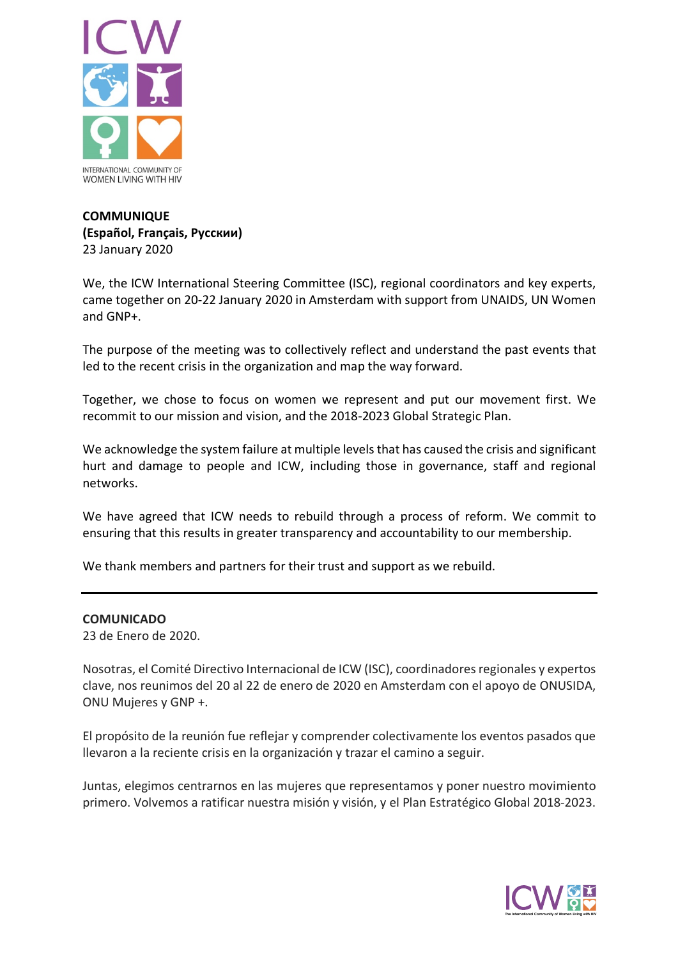

## **COMMUNIQUE (Español, Français, Русскии)** 23 January 2020

We, the ICW International Steering Committee (ISC), regional coordinators and key experts, came together on 20-22 January 2020 in Amsterdam with support from UNAIDS, UN Women and GNP+.

The purpose of the meeting was to collectively reflect and understand the past events that led to the recent crisis in the organization and map the way forward.

Together, we chose to focus on women we represent and put our movement first. We recommit to our mission and vision, and the 2018-2023 Global Strategic Plan.

We acknowledge the system failure at multiple levels that has caused the crisis and significant hurt and damage to people and ICW, including those in governance, staff and regional networks.

We have agreed that ICW needs to rebuild through a process of reform. We commit to ensuring that this results in greater transparency and accountability to our membership.

We thank members and partners for their trust and support as we rebuild.

## **COMUNICADO**

23 de Enero de 2020.

Nosotras, el Comité Directivo Internacional de ICW (ISC), coordinadores regionales y expertos clave, nos reunimos del 20 al 22 de enero de 2020 en Amsterdam con el apoyo de ONUSIDA, ONU Mujeres y GNP +.

El propósito de la reunión fue reflejar y comprender colectivamente los eventos pasados que llevaron a la reciente crisis en la organización y trazar el camino a seguir.

Juntas, elegimos centrarnos en las mujeres que representamos y poner nuestro movimiento primero. Volvemos a ratificar nuestra misión y visión, y el Plan Estratégico Global 2018-2023.

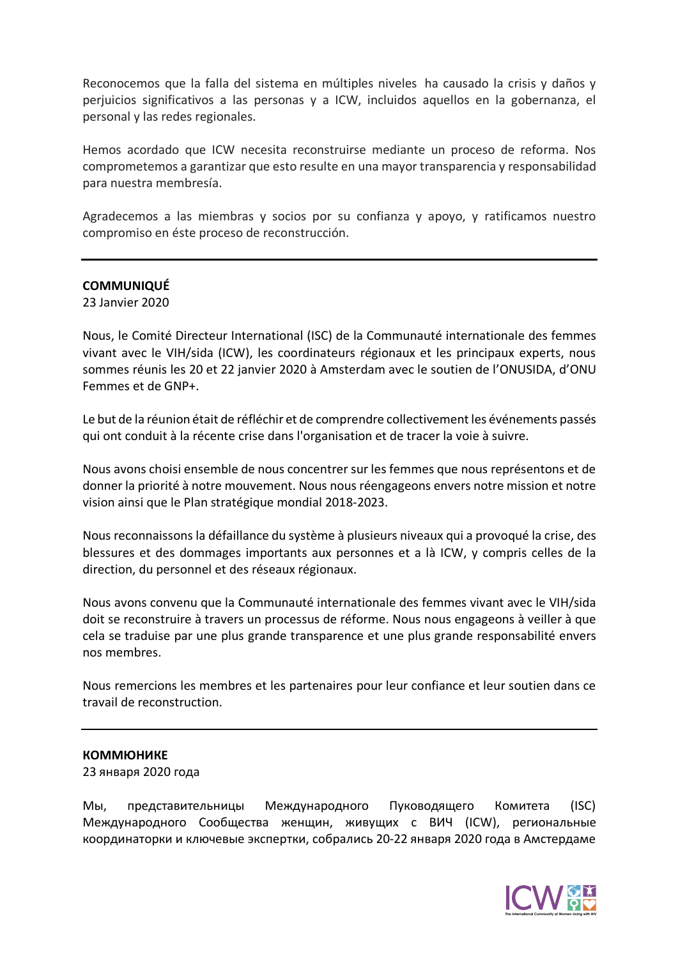Reconocemos que la falla del sistema en múltiples niveles ha causado la crisis y daños y perjuicios significativos a las personas y a ICW, incluidos aquellos en la gobernanza, el personal y las redes regionales.

Hemos acordado que ICW necesita reconstruirse mediante un proceso de reforma. Nos comprometemos a garantizar que esto resulte en una mayor transparencia y responsabilidad para nuestra membresía.

Agradecemos a las miembras y socios por su confianza y apoyo, y ratificamos nuestro compromiso en éste proceso de reconstrucción.

## **COMMUNIQUÉ**

23 Janvier 2020

Nous, le Comité Directeur International (ISC) de la Communauté internationale des femmes vivant avec le VIH/sida (ICW), les coordinateurs régionaux et les principaux experts, nous sommes réunis les 20 et 22 janvier 2020 à Amsterdam avec le soutien de l'ONUSIDA, d'ONU Femmes et de GNP+.

Le but de la réunion était de réfléchir et de comprendre collectivement les événements passés qui ont conduit à la récente crise dans l'organisation et de tracer la voie à suivre.

Nous avons choisi ensemble de nous concentrer sur les femmes que nous représentons et de donner la priorité à notre mouvement. Nous nous réengageons envers notre mission et notre vision ainsi que le Plan stratégique mondial 2018-2023.

Nous reconnaissons la défaillance du système à plusieurs niveaux qui a provoqué la crise, des blessures et des dommages importants aux personnes et a là ICW, y compris celles de la direction, du personnel et des réseaux régionaux.

Nous avons convenu que la Communauté internationale des femmes vivant avec le VIH/sida doit se reconstruire à travers un processus de réforme. Nous nous engageons à veiller à que cela se traduise par une plus grande transparence et une plus grande responsabilité envers nos membres.

Nous remercions les membres et les partenaires pour leur confiance et leur soutien dans ce travail de reconstruction.

## **КОММЮНИКЕ**

23 января 2020 года

Мы, представительницы Международного Пуководящего Комитета (ISC) Международного Сообщества женщин, живущих с ВИЧ (ICW), региональные координаторки и ключевые экспертки, собрались 20-22 января 2020 года в Амстердаме